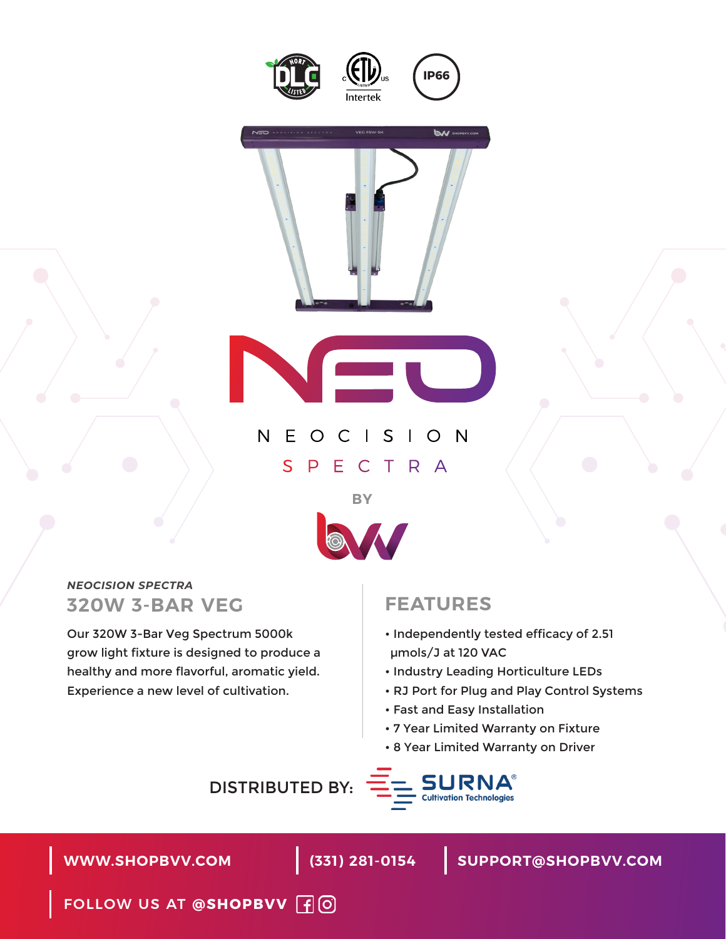





## NEOCISION SPECTRA



### *NEOCISION SPECTRA* **320W 3-BAR VEG**

Our 320W 3-Bar Veg Spectrum 5000k grow light fixture is designed to produce a healthy and more flavorful, aromatic yield. Experience a new level of cultivation.

### **FEATURES**

- Independently tested efficacy of 2.51 μmols/J at 120 VAC
- Industry Leading Horticulture LEDs
- RJ Port for Plug and Play Control Systems
- Fast and Easy Installation
- 7 Year Limited Warranty on Fixture
- 8 Year Limited Warranty on Driver

DISTRIBUTED BY:



**WWW.SHOPBVV.COM (331) 281-0154**

**SUPPORT@SHOPBVV.COM**

FOLLOW US AT **@SHOPBVV**